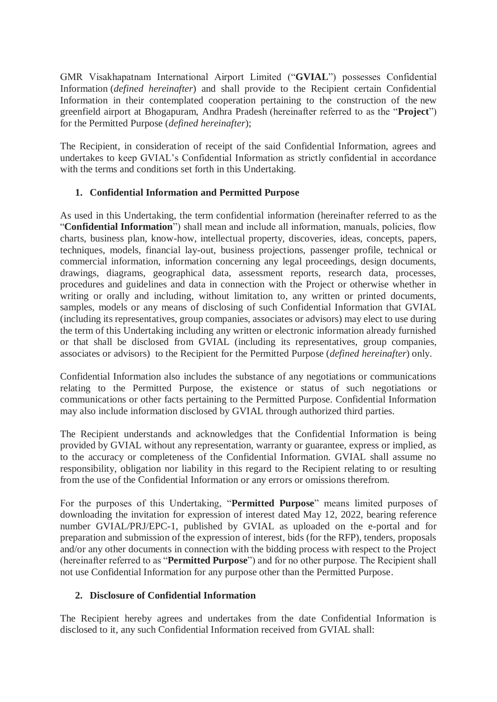GMR Visakhapatnam International Airport Limited ("**GVIAL**") possesses Confidential Information (*defined hereinafter*) and shall provide to the Recipient certain Confidential Information in their contemplated cooperation pertaining to the construction of the new greenfield airport at Bhogapuram, Andhra Pradesh (hereinafter referred to as the "**Project**") for the Permitted Purpose (*defined hereinafter*);

The Recipient, in consideration of receipt of the said Confidential Information, agrees and undertakes to keep GVIAL's Confidential Information as strictly confidential in accordance with the terms and conditions set forth in this Undertaking.

## **1. Confidential Information and Permitted Purpose**

As used in this Undertaking, the term confidential information (hereinafter referred to as the "**Confidential Information**") shall mean and include all information, manuals, policies, flow charts, business plan, know-how, intellectual property, discoveries, ideas, concepts, papers, techniques, models, financial lay-out, business projections, passenger profile, technical or commercial information, information concerning any legal proceedings, design documents, drawings, diagrams, geographical data, assessment reports, research data, processes, procedures and guidelines and data in connection with the Project or otherwise whether in writing or orally and including, without limitation to, any written or printed documents, samples, models or any means of disclosing of such Confidential Information that GVIAL (including its representatives, group companies, associates or advisors) may elect to use during the term of this Undertaking including any written or electronic information already furnished or that shall be disclosed from GVIAL (including its representatives, group companies, associates or advisors) to the Recipient for the Permitted Purpose (*defined hereinafter*) only.

Confidential Information also includes the substance of any negotiations or communications relating to the Permitted Purpose, the existence or status of such negotiations or communications or other facts pertaining to the Permitted Purpose. Confidential Information may also include information disclosed by GVIAL through authorized third parties.

The Recipient understands and acknowledges that the Confidential Information is being provided by GVIAL without any representation, warranty or guarantee, express or implied, as to the accuracy or completeness of the Confidential Information. GVIAL shall assume no responsibility, obligation nor liability in this regard to the Recipient relating to or resulting from the use of the Confidential Information or any errors or omissions therefrom.

For the purposes of this Undertaking, "**Permitted Purpose**" means limited purposes of downloading the invitation for expression of interest dated May 12, 2022, bearing reference number GVIAL/PRJ/EPC-1, published by GVIAL as uploaded on the e-portal and for preparation and submission of the expression of interest, bids (for the RFP), tenders, proposals and/or any other documents in connection with the bidding process with respect to the Project (hereinafter referred to as "**Permitted Purpose**") and for no other purpose. The Recipient shall not use Confidential Information for any purpose other than the Permitted Purpose.

## **2. Disclosure of Confidential Information**

The Recipient hereby agrees and undertakes from the date Confidential Information is disclosed to it, any such Confidential Information received from GVIAL shall: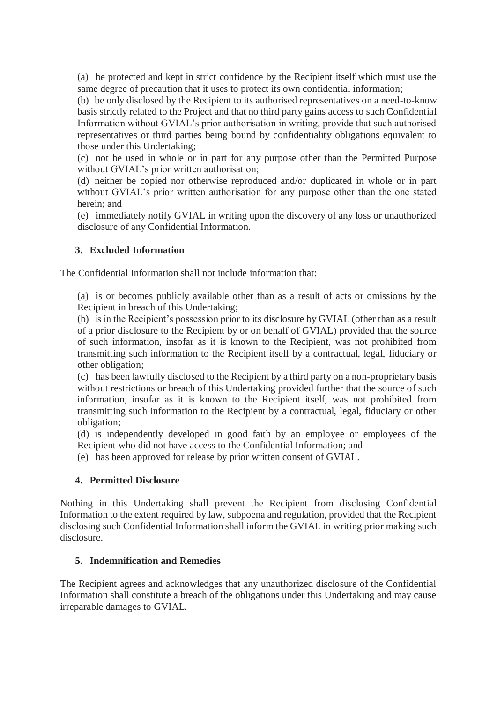(a) be protected and kept in strict confidence by the Recipient itself which must use the same degree of precaution that it uses to protect its own confidential information;

(b) be only disclosed by the Recipient to its authorised representatives on a need-to-know basis strictly related to the Project and that no third party gains access to such Confidential Information without GVIAL's prior authorisation in writing, provide that such authorised representatives or third parties being bound by confidentiality obligations equivalent to those under this Undertaking;

(c) not be used in whole or in part for any purpose other than the Permitted Purpose without GVIAL's prior written authorisation;

(d) neither be copied nor otherwise reproduced and/or duplicated in whole or in part without GVIAL's prior written authorisation for any purpose other than the one stated herein; and

(e) immediately notify GVIAL in writing upon the discovery of any loss or unauthorized disclosure of any Confidential Information.

## **3. Excluded Information**

The Confidential Information shall not include information that:

(a) is or becomes publicly available other than as a result of acts or omissions by the Recipient in breach of this Undertaking;

(b) is in the Recipient's possession prior to its disclosure by GVIAL (other than as a result of a prior disclosure to the Recipient by or on behalf of GVIAL) provided that the source of such information, insofar as it is known to the Recipient, was not prohibited from transmitting such information to the Recipient itself by a contractual, legal, fiduciary or other obligation;

(c) has been lawfully disclosed to the Recipient by a third party on a non-proprietary basis without restrictions or breach of this Undertaking provided further that the source of such information, insofar as it is known to the Recipient itself, was not prohibited from transmitting such information to the Recipient by a contractual, legal, fiduciary or other obligation;

(d) is independently developed in good faith by an employee or employees of the Recipient who did not have access to the Confidential Information; and

(e) has been approved for release by prior written consent of GVIAL.

#### **4. Permitted Disclosure**

Nothing in this Undertaking shall prevent the Recipient from disclosing Confidential Information to the extent required by law, subpoena and regulation, provided that the Recipient disclosing such Confidential Information shall inform the GVIAL in writing prior making such disclosure.

## **5. Indemnification and Remedies**

The Recipient agrees and acknowledges that any unauthorized disclosure of the Confidential Information shall constitute a breach of the obligations under this Undertaking and may cause irreparable damages to GVIAL.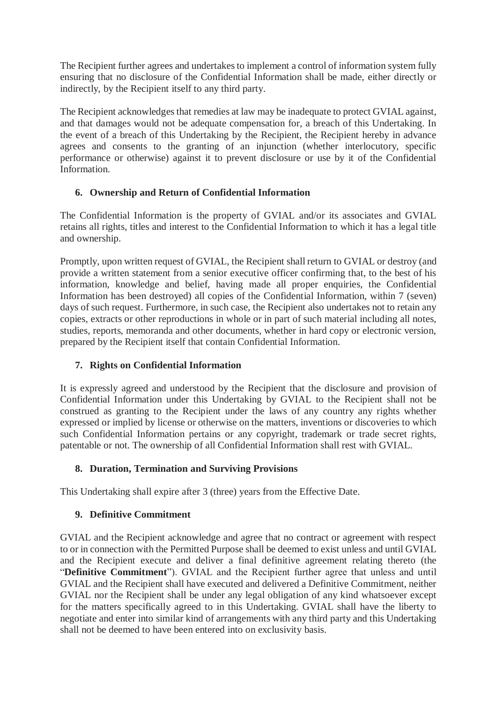The Recipient further agrees and undertakes to implement a control of information system fully ensuring that no disclosure of the Confidential Information shall be made, either directly or indirectly, by the Recipient itself to any third party.

The Recipient acknowledges that remedies at law may be inadequate to protect GVIAL against, and that damages would not be adequate compensation for, a breach of this Undertaking. In the event of a breach of this Undertaking by the Recipient, the Recipient hereby in advance agrees and consents to the granting of an injunction (whether interlocutory, specific performance or otherwise) against it to prevent disclosure or use by it of the Confidential Information.

# **6. Ownership and Return of Confidential Information**

The Confidential Information is the property of GVIAL and/or its associates and GVIAL retains all rights, titles and interest to the Confidential Information to which it has a legal title and ownership.

Promptly, upon written request of GVIAL, the Recipient shall return to GVIAL or destroy (and provide a written statement from a senior executive officer confirming that, to the best of his information, knowledge and belief, having made all proper enquiries, the Confidential Information has been destroyed) all copies of the Confidential Information, within 7 (seven) days of such request. Furthermore, in such case, the Recipient also undertakes not to retain any copies, extracts or other reproductions in whole or in part of such material including all notes, studies, reports, memoranda and other documents, whether in hard copy or electronic version, prepared by the Recipient itself that contain Confidential Information.

# **7. Rights on Confidential Information**

It is expressly agreed and understood by the Recipient that the disclosure and provision of Confidential Information under this Undertaking by GVIAL to the Recipient shall not be construed as granting to the Recipient under the laws of any country any rights whether expressed or implied by license or otherwise on the matters, inventions or discoveries to which such Confidential Information pertains or any copyright, trademark or trade secret rights, patentable or not. The ownership of all Confidential Information shall rest with GVIAL.

# **8. Duration, Termination and Surviving Provisions**

This Undertaking shall expire after 3 (three) years from the Effective Date.

# **9. Definitive Commitment**

GVIAL and the Recipient acknowledge and agree that no contract or agreement with respect to or in connection with the Permitted Purpose shall be deemed to exist unless and until GVIAL and the Recipient execute and deliver a final definitive agreement relating thereto (the "**Definitive Commitment**"). GVIAL and the Recipient further agree that unless and until GVIAL and the Recipient shall have executed and delivered a Definitive Commitment, neither GVIAL nor the Recipient shall be under any legal obligation of any kind whatsoever except for the matters specifically agreed to in this Undertaking. GVIAL shall have the liberty to negotiate and enter into similar kind of arrangements with any third party and this Undertaking shall not be deemed to have been entered into on exclusivity basis.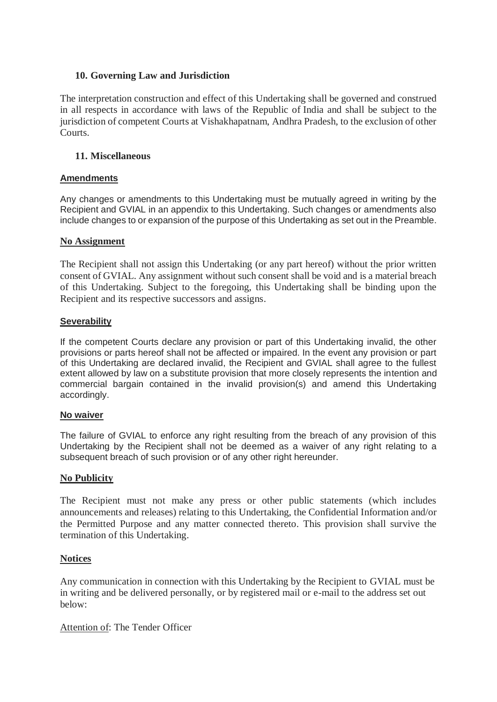#### **10. Governing Law and Jurisdiction**

The interpretation construction and effect of this Undertaking shall be governed and construed in all respects in accordance with laws of the Republic of India and shall be subject to the jurisdiction of competent Courts at Vishakhapatnam, Andhra Pradesh, to the exclusion of other Courts.

#### **11. Miscellaneous**

#### **Amendments**

Any changes or amendments to this Undertaking must be mutually agreed in writing by the Recipient and GVIAL in an appendix to this Undertaking. Such changes or amendments also include changes to or expansion of the purpose of this Undertaking as set out in the Preamble.

#### **No Assignment**

The Recipient shall not assign this Undertaking (or any part hereof) without the prior written consent of GVIAL. Any assignment without such consent shall be void and is a material breach of this Undertaking. Subject to the foregoing, this Undertaking shall be binding upon the Recipient and its respective successors and assigns.

#### **Severability**

If the competent Courts declare any provision or part of this Undertaking invalid, the other provisions or parts hereof shall not be affected or impaired. In the event any provision or part of this Undertaking are declared invalid, the Recipient and GVIAL shall agree to the fullest extent allowed by law on a substitute provision that more closely represents the intention and commercial bargain contained in the invalid provision(s) and amend this Undertaking accordingly.

#### **No waiver**

The failure of GVIAL to enforce any right resulting from the breach of any provision of this Undertaking by the Recipient shall not be deemed as a waiver of any right relating to a subsequent breach of such provision or of any other right hereunder.

## **No Publicity**

The Recipient must not make any press or other public statements (which includes announcements and releases) relating to this Undertaking, the Confidential Information and/or the Permitted Purpose and any matter connected thereto. This provision shall survive the termination of this Undertaking.

#### **Notices**

Any communication in connection with this Undertaking by the Recipient to GVIAL must be in writing and be delivered personally, or by registered mail or e-mail to the address set out below:

Attention of: The Tender Officer